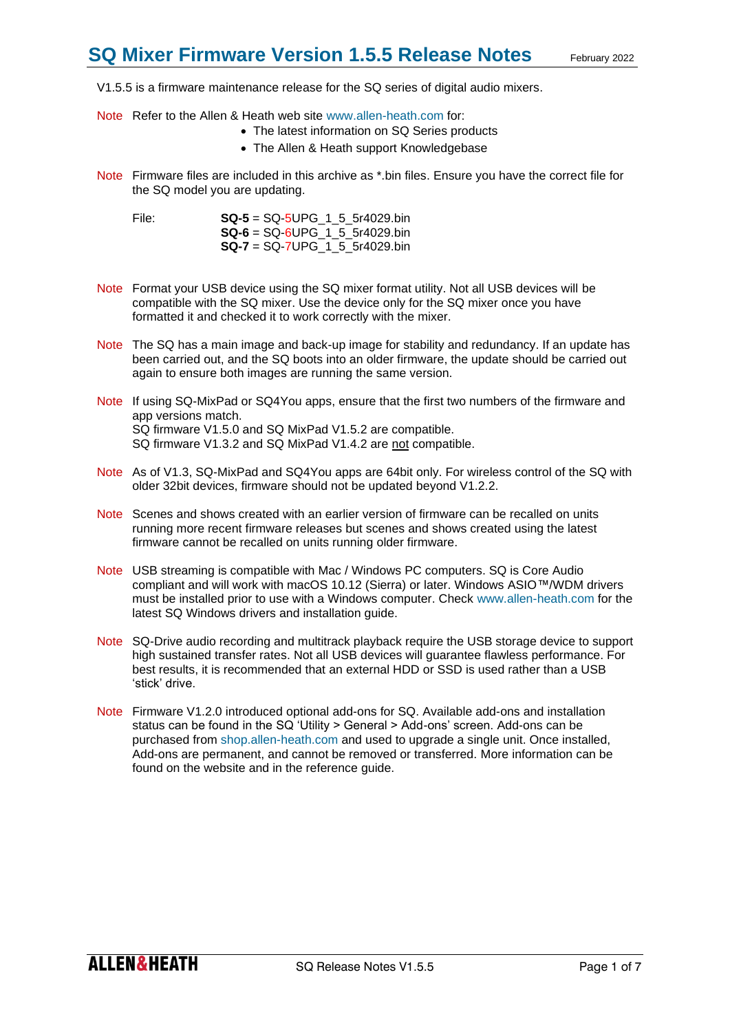V1.5.5 is a firmware maintenance release for the SQ series of digital audio mixers.

- Note Refer to the Allen & Heath web site [www.allen-heath.com](http://www.allen-heath.com/) for:
	- The latest information on SQ Series products
	- The Allen & Heath support Knowledgebase
- Note Firmware files are included in this archive as \*.bin files. Ensure you have the correct file for the SQ model you are updating.

File: **SQ-5** = SQ-5UPG\_1\_5\_5r4029.bin **SQ-6** = SQ-6UPG\_1\_5\_5r4029.bin **SQ-7** = SQ-7UPG\_1\_5\_5r4029.bin

- Note Format your USB device using the SQ mixer format utility. Not all USB devices will be compatible with the SQ mixer. Use the device only for the SQ mixer once you have formatted it and checked it to work correctly with the mixer.
- Note The SQ has a main image and back-up image for stability and redundancy. If an update has been carried out, and the SQ boots into an older firmware, the update should be carried out again to ensure both images are running the same version.
- Note If using SQ-MixPad or SQ4You apps, ensure that the first two numbers of the firmware and app versions match. SQ firmware V1.5.0 and SQ MixPad V1.5.2 are compatible. SQ firmware V1.3.2 and SQ MixPad V1.4.2 are not compatible.
- Note As of V1.3, SQ-MixPad and SQ4You apps are 64bit only. For wireless control of the SQ with older 32bit devices, firmware should not be updated beyond V1.2.2.
- Note Scenes and shows created with an earlier version of firmware can be recalled on units running more recent firmware releases but scenes and shows created using the latest firmware cannot be recalled on units running older firmware.
- Note USB streaming is compatible with Mac / Windows PC computers. SQ is Core Audio compliant and will work with macOS 10.12 (Sierra) or later. Windows ASIO™/WDM drivers must be installed prior to use with a Windows computer. Check [www.allen-heath.com](http://www.allen-heath.com/) for the latest SQ Windows drivers and installation guide.
- Note SQ-Drive audio recording and multitrack playback require the USB storage device to support high sustained transfer rates. Not all USB devices will guarantee flawless performance. For best results, it is recommended that an external HDD or SSD is used rather than a USB 'stick' drive.
- Note Firmware V1.2.0 introduced optional add-ons for SQ. Available add-ons and installation status can be found in the SQ 'Utility > General > Add-ons' screen. Add-ons can be purchased from [shop.allen-heath.com](http://shop.allen-heath.com/) and used to upgrade a single unit. Once installed, Add-ons are permanent, and cannot be removed or transferred. More information can be found on the website and in the reference guide.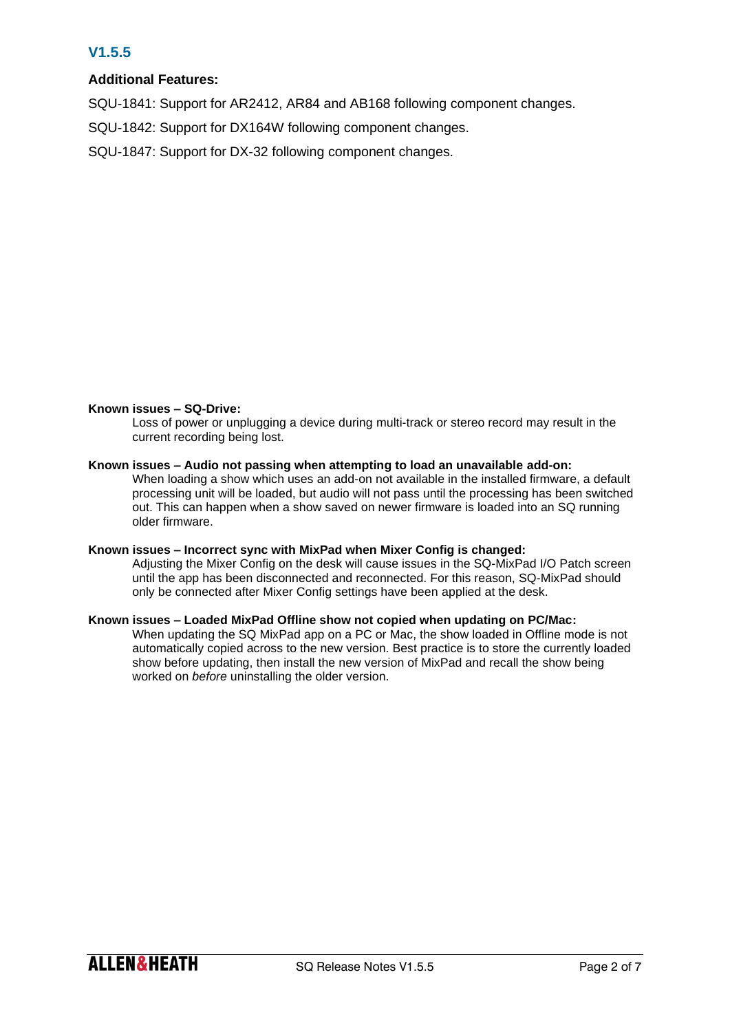# **V1.5.5**

# **Additional Features:**

SQU-1841: Support for AR2412, AR84 and AB168 following component changes.

SQU-1842: Support for DX164W following component changes.

SQU-1847: Support for DX-32 following component changes.

# **Known issues – SQ-Drive:**

Loss of power or unplugging a device during multi-track or stereo record may result in the current recording being lost.

# **Known issues – Audio not passing when attempting to load an unavailable add-on:**

When loading a show which uses an add-on not available in the installed firmware, a default processing unit will be loaded, but audio will not pass until the processing has been switched out. This can happen when a show saved on newer firmware is loaded into an SQ running older firmware.

# **Known issues – Incorrect sync with MixPad when Mixer Config is changed:**

Adjusting the Mixer Config on the desk will cause issues in the SQ-MixPad I/O Patch screen until the app has been disconnected and reconnected. For this reason, SQ-MixPad should only be connected after Mixer Config settings have been applied at the desk.

# **Known issues – Loaded MixPad Offline show not copied when updating on PC/Mac:**

When updating the SQ MixPad app on a PC or Mac, the show loaded in Offline mode is not automatically copied across to the new version. Best practice is to store the currently loaded show before updating, then install the new version of MixPad and recall the show being worked on *before* uninstalling the older version.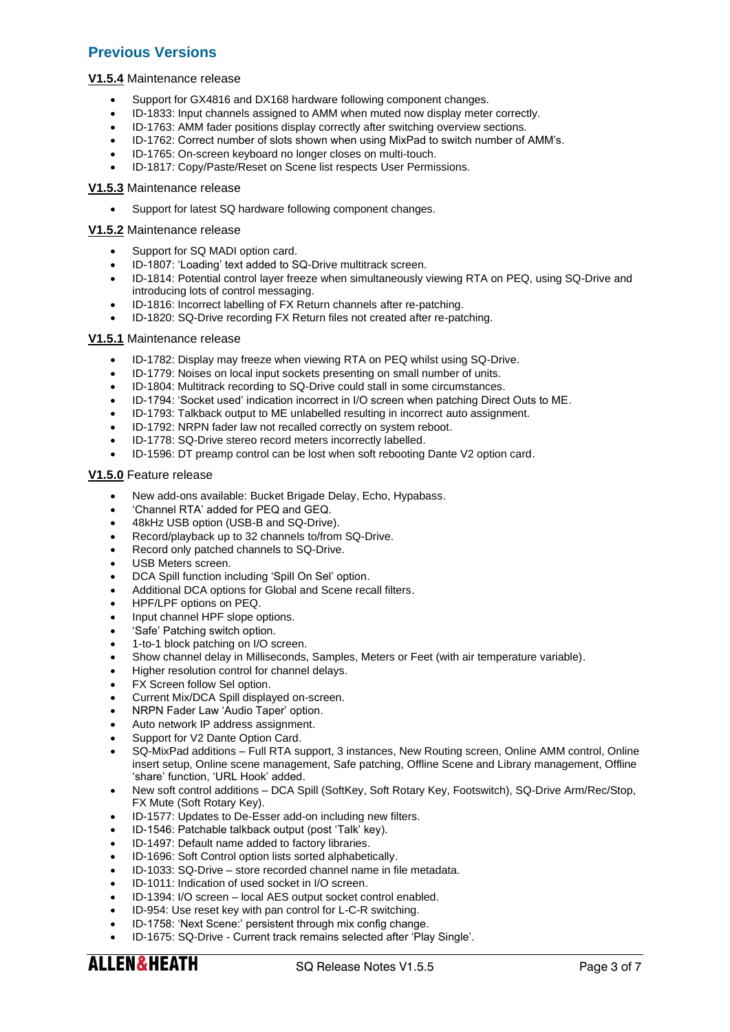# **Previous Versions**

# **V1.5.4** Maintenance release

- Support for GX4816 and DX168 hardware following component changes.
- ID-1833: Input channels assigned to AMM when muted now display meter correctly.
- ID-1763: AMM fader positions display correctly after switching overview sections.
- ID-1762: Correct number of slots shown when using MixPad to switch number of AMM's.
- ID-1765: On-screen keyboard no longer closes on multi-touch.
- ID-1817: Copy/Paste/Reset on Scene list respects User Permissions.

#### **V1.5.3** Maintenance release

Support for latest SQ hardware following component changes.

#### **V1.5.2** Maintenance release

- Support for SQ MADI option card.
- ID-1807: 'Loading' text added to SQ-Drive multitrack screen.
- ID-1814: Potential control layer freeze when simultaneously viewing RTA on PEQ, using SQ-Drive and introducing lots of control messaging.
- ID-1816: Incorrect labelling of FX Return channels after re-patching.
- ID-1820: SQ-Drive recording FX Return files not created after re-patching.

#### **V1.5.1** Maintenance release

- ID-1782: Display may freeze when viewing RTA on PEQ whilst using SQ-Drive.
- ID-1779: Noises on local input sockets presenting on small number of units.
- ID-1804: Multitrack recording to SQ-Drive could stall in some circumstances.
- ID-1794: 'Socket used' indication incorrect in I/O screen when patching Direct Outs to ME.
- ID-1793: Talkback output to ME unlabelled resulting in incorrect auto assignment.
- ID-1792: NRPN fader law not recalled correctly on system reboot.
- ID-1778: SQ-Drive stereo record meters incorrectly labelled.
- ID-1596: DT preamp control can be lost when soft rebooting Dante V2 option card.

#### **V1.5.0** Feature release

- New add-ons available: Bucket Brigade Delay, Echo, Hypabass.
- 'Channel RTA' added for PEQ and GEQ.
- 48kHz USB option (USB-B and SQ-Drive).
- Record/playback up to 32 channels to/from SQ-Drive.
- Record only patched channels to SQ-Drive.
- USB Meters screen.
- DCA Spill function including 'Spill On Sel' option.
- Additional DCA options for Global and Scene recall filters.
- HPF/LPF options on PEQ.
- Input channel HPF slope options.
- 'Safe' Patching switch option.
- 1-to-1 block patching on I/O screen.
- Show channel delay in Milliseconds, Samples, Meters or Feet (with air temperature variable).
- Higher resolution control for channel delays.
- FX Screen follow Sel option.
- Current Mix/DCA Spill displayed on-screen.
- NRPN Fader Law 'Audio Taper' option.
- Auto network IP address assignment.
- Support for V2 Dante Option Card.
- SQ-MixPad additions Full RTA support, 3 instances, New Routing screen, Online AMM control, Online insert setup, Online scene management, Safe patching, Offline Scene and Library management, Offline 'share' function, 'URL Hook' added.
- New soft control additions DCA Spill (SoftKey, Soft Rotary Key, Footswitch), SQ-Drive Arm/Rec/Stop, FX Mute (Soft Rotary Key).
- ID-1577: Updates to De-Esser add-on including new filters.
- ID-1546: Patchable talkback output (post 'Talk' key).
- ID-1497: Default name added to factory libraries.
- ID-1696: Soft Control option lists sorted alphabetically.
- ID-1033: SQ-Drive store recorded channel name in file metadata.
- ID-1011: Indication of used socket in I/O screen.
- ID-1394: I/O screen local AES output socket control enabled.
- ID-954: Use reset key with pan control for L-C-R switching.
- ID-1758: 'Next Scene:' persistent through mix config change.
- ID-1675: SQ-Drive Current track remains selected after 'Play Single'.

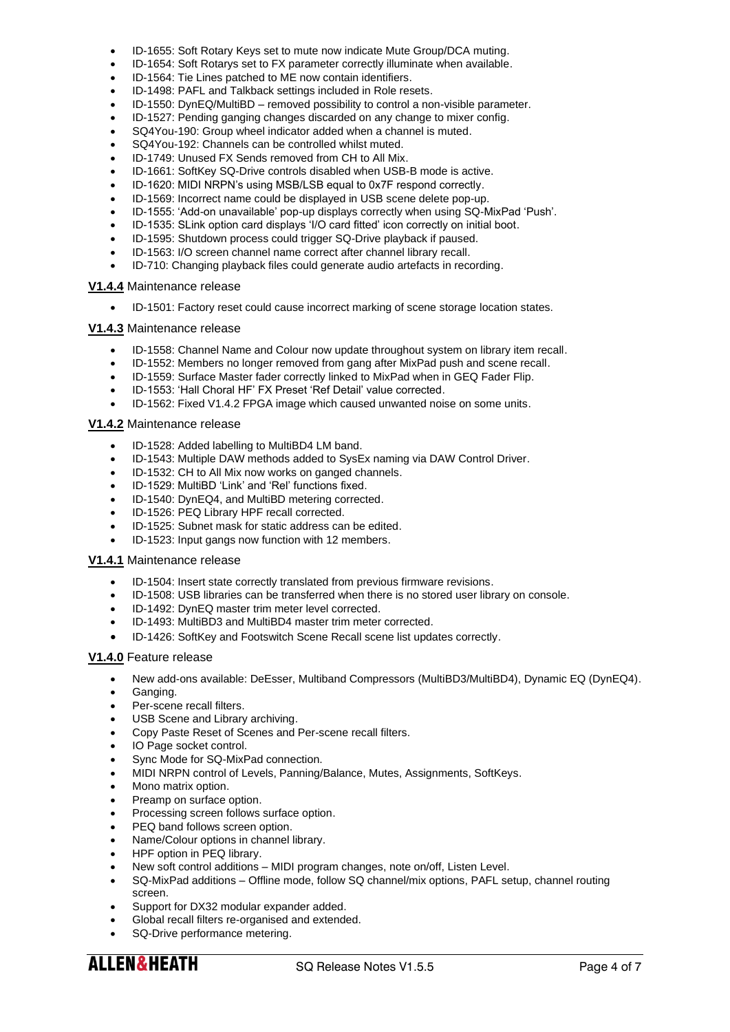- ID-1655: Soft Rotary Keys set to mute now indicate Mute Group/DCA muting.
- ID-1654: Soft Rotarys set to FX parameter correctly illuminate when available.
- ID-1564: Tie Lines patched to ME now contain identifiers.
- ID-1498: PAFL and Talkback settings included in Role resets.
- ID-1550: DynEQ/MultiBD removed possibility to control a non-visible parameter.
- ID-1527: Pending ganging changes discarded on any change to mixer config.
- SQ4You-190: Group wheel indicator added when a channel is muted.
- SQ4You-192: Channels can be controlled whilst muted.
- ID-1749: Unused FX Sends removed from CH to All Mix.
- ID-1661: SoftKey SQ-Drive controls disabled when USB-B mode is active.
- ID-1620: MIDI NRPN's using MSB/LSB equal to 0x7F respond correctly.
- ID-1569: Incorrect name could be displayed in USB scene delete pop-up.
- ID-1555: 'Add-on unavailable' pop-up displays correctly when using SQ-MixPad 'Push'.
- ID-1535: SLink option card displays 'I/O card fitted' icon correctly on initial boot.
- ID-1595: Shutdown process could trigger SQ-Drive playback if paused.
- ID-1563: I/O screen channel name correct after channel library recall.
- ID-710: Changing playback files could generate audio artefacts in recording.

#### **V1.4.4** Maintenance release

• ID-1501: Factory reset could cause incorrect marking of scene storage location states.

# **V1.4.3** Maintenance release

- ID-1558: Channel Name and Colour now update throughout system on library item recall.
- ID-1552: Members no longer removed from gang after MixPad push and scene recall.
- ID-1559: Surface Master fader correctly linked to MixPad when in GEQ Fader Flip.
- ID-1553: 'Hall Choral HF' FX Preset 'Ref Detail' value corrected.
- ID-1562: Fixed V1.4.2 FPGA image which caused unwanted noise on some units.

# **V1.4.2** Maintenance release

- ID-1528: Added labelling to MultiBD4 LM band.
- ID-1543: Multiple DAW methods added to SysEx naming via DAW Control Driver.
- ID-1532: CH to All Mix now works on ganged channels.
- ID-1529: MultiBD 'Link' and 'Rel' functions fixed.
- ID-1540: DynEQ4, and MultiBD metering corrected.
- ID-1526: PEQ Library HPF recall corrected.
- ID-1525: Subnet mask for static address can be edited.
- ID-1523: Input gangs now function with 12 members.

#### **V1.4.1** Maintenance release

- ID-1504: Insert state correctly translated from previous firmware revisions.
- ID-1508: USB libraries can be transferred when there is no stored user library on console.
- ID-1492: DynEQ master trim meter level corrected.
- ID-1493: MultiBD3 and MultiBD4 master trim meter corrected.
- ID-1426: SoftKey and Footswitch Scene Recall scene list updates correctly.

# **V1.4.0** Feature release

- New add-ons available: DeEsser, Multiband Compressors (MultiBD3/MultiBD4), Dynamic EQ (DynEQ4).
- Ganging.
- Per-scene recall filters.
- USB Scene and Library archiving.
- Copy Paste Reset of Scenes and Per-scene recall filters.
- IO Page socket control.
- Sync Mode for SQ-MixPad connection.
- MIDI NRPN control of Levels, Panning/Balance, Mutes, Assignments, SoftKeys.
- Mono matrix option.
- Preamp on surface option.
- Processing screen follows surface option.
- PEQ band follows screen option.
- Name/Colour options in channel library.
- HPF option in PEQ library.
- New soft control additions MIDI program changes, note on/off, Listen Level.
- SQ-MixPad additions Offline mode, follow SQ channel/mix options, PAFL setup, channel routing screen.
- Support for DX32 modular expander added.
- Global recall filters re-organised and extended.
- SQ-Drive performance metering.

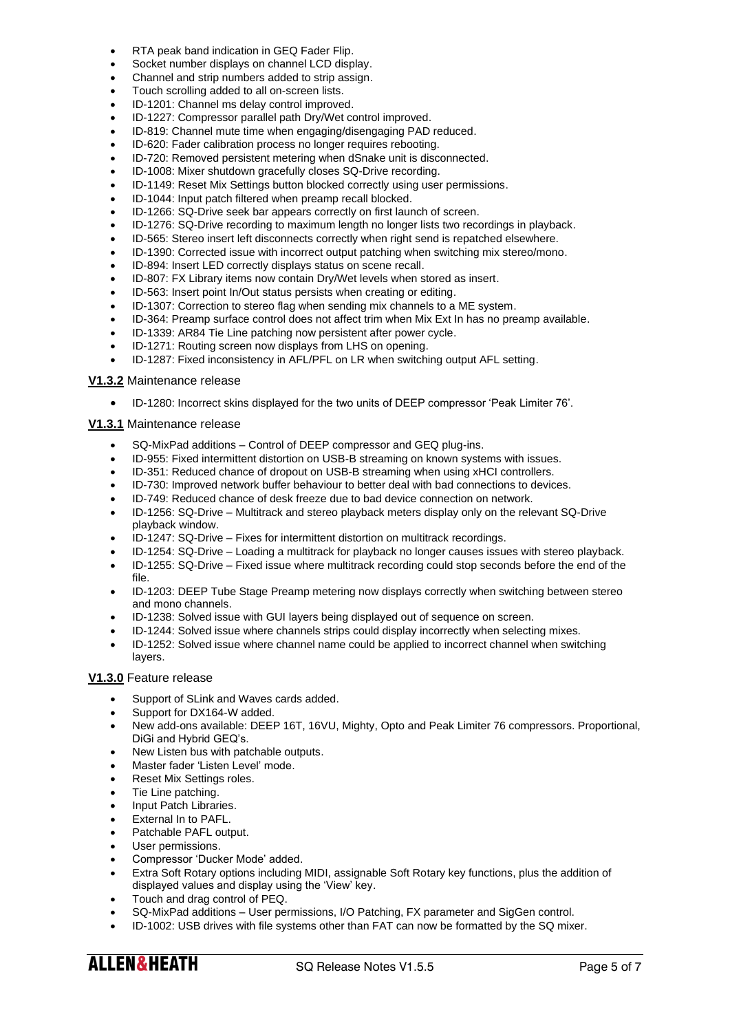- RTA peak band indication in GEQ Fader Flip.
- Socket number displays on channel LCD display.
- Channel and strip numbers added to strip assign.
- Touch scrolling added to all on-screen lists.
- ID-1201: Channel ms delay control improved.
- ID-1227: Compressor parallel path Dry/Wet control improved.
- ID-819: Channel mute time when engaging/disengaging PAD reduced.
- ID-620: Fader calibration process no longer requires rebooting.
- ID-720: Removed persistent metering when dSnake unit is disconnected.
- ID-1008: Mixer shutdown gracefully closes SQ-Drive recording.
- ID-1149: Reset Mix Settings button blocked correctly using user permissions.
- ID-1044: Input patch filtered when preamp recall blocked.
- ID-1266: SQ-Drive seek bar appears correctly on first launch of screen.
- ID-1276: SQ-Drive recording to maximum length no longer lists two recordings in playback.
- ID-565: Stereo insert left disconnects correctly when right send is repatched elsewhere.
- ID-1390: Corrected issue with incorrect output patching when switching mix stereo/mono.
- ID-894: Insert LED correctly displays status on scene recall.
- ID-807: FX Library items now contain Dry/Wet levels when stored as insert.
- ID-563: Insert point In/Out status persists when creating or editing.
- ID-1307: Correction to stereo flag when sending mix channels to a ME system.
- ID-364: Preamp surface control does not affect trim when Mix Ext In has no preamp available.
- ID-1339: AR84 Tie Line patching now persistent after power cycle.
- ID-1271: Routing screen now displays from LHS on opening.
- ID-1287: Fixed inconsistency in AFL/PFL on LR when switching output AFL setting.

#### **V1.3.2** Maintenance release

• ID-1280: Incorrect skins displayed for the two units of DEEP compressor 'Peak Limiter 76'.

# **V1.3.1** Maintenance release

- SQ-MixPad additions Control of DEEP compressor and GEQ plug-ins.
- ID-955: Fixed intermittent distortion on USB-B streaming on known systems with issues.
- ID-351: Reduced chance of dropout on USB-B streaming when using xHCI controllers.
- ID-730: Improved network buffer behaviour to better deal with bad connections to devices.
- ID-749: Reduced chance of desk freeze due to bad device connection on network.
- ID-1256: SQ-Drive Multitrack and stereo playback meters display only on the relevant SQ-Drive playback window.
- ID-1247: SQ-Drive Fixes for intermittent distortion on multitrack recordings.
- ID-1254: SQ-Drive Loading a multitrack for playback no longer causes issues with stereo playback.
- ID-1255: SQ-Drive Fixed issue where multitrack recording could stop seconds before the end of the file.
- ID-1203: DEEP Tube Stage Preamp metering now displays correctly when switching between stereo and mono channels.
- ID-1238: Solved issue with GUI layers being displayed out of sequence on screen.
- ID-1244: Solved issue where channels strips could display incorrectly when selecting mixes.
- ID-1252: Solved issue where channel name could be applied to incorrect channel when switching layers.

# **V1.3.0** Feature release

- Support of SLink and Waves cards added.
- Support for DX164-W added.
- New add-ons available: DEEP 16T, 16VU, Mighty, Opto and Peak Limiter 76 compressors. Proportional, DiGi and Hybrid GEQ's.
- New Listen bus with patchable outputs.
- Master fader 'Listen Level' mode.
- Reset Mix Settings roles.
- Tie Line patching.
- Input Patch Libraries.
- External In to PAFL.
- Patchable PAFL output.
- User permissions.
- Compressor 'Ducker Mode' added.
- Extra Soft Rotary options including MIDI, assignable Soft Rotary key functions, plus the addition of displayed values and display using the 'View' key.
- Touch and drag control of PEQ.
- SQ-MixPad additions User permissions, I/O Patching, FX parameter and SigGen control.
- ID-1002: USB drives with file systems other than FAT can now be formatted by the SQ mixer.

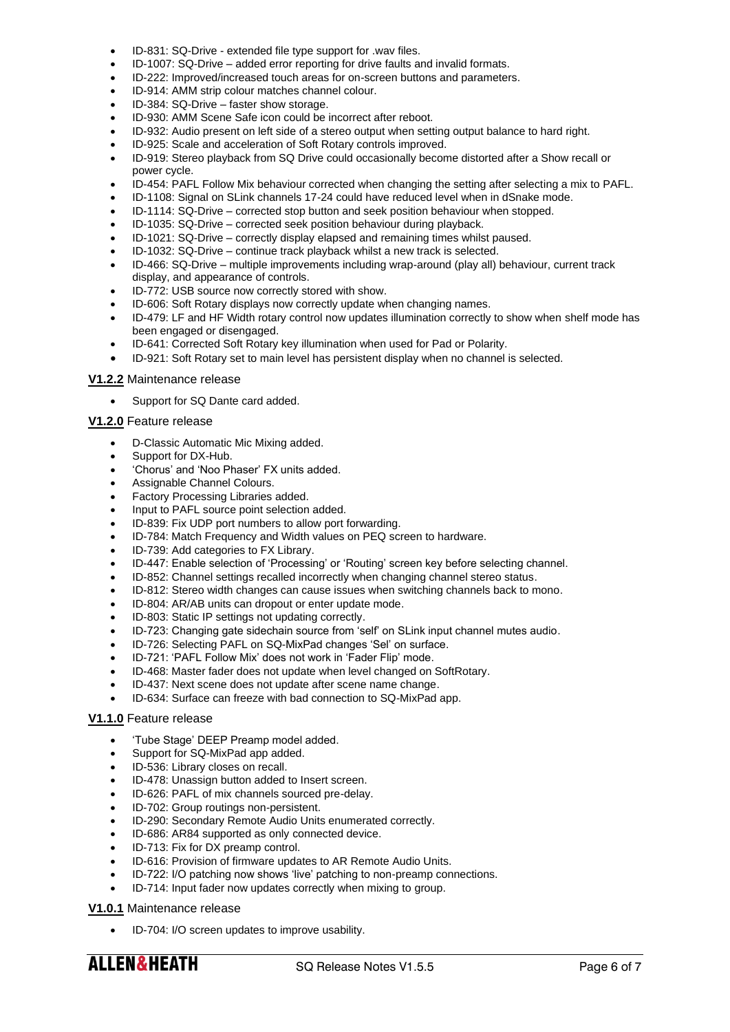- ID-831: SQ-Drive extended file type support for .wav files.
- ID-1007: SQ-Drive added error reporting for drive faults and invalid formats.
- ID-222: Improved/increased touch areas for on-screen buttons and parameters.
- ID-914: AMM strip colour matches channel colour.
- ID-384: SQ-Drive faster show storage.
- ID-930: AMM Scene Safe icon could be incorrect after reboot.
- ID-932: Audio present on left side of a stereo output when setting output balance to hard right.
- ID-925: Scale and acceleration of Soft Rotary controls improved.
- ID-919: Stereo playback from SQ Drive could occasionally become distorted after a Show recall or power cycle.
- ID-454: PAFL Follow Mix behaviour corrected when changing the setting after selecting a mix to PAFL.
- ID-1108: Signal on SLink channels 17-24 could have reduced level when in dSnake mode.
- ID-1114: SQ-Drive corrected stop button and seek position behaviour when stopped.
- ID-1035: SQ-Drive corrected seek position behaviour during playback.
- ID-1021: SQ-Drive correctly display elapsed and remaining times whilst paused.
- ID-1032: SQ-Drive continue track playback whilst a new track is selected.
- ID-466: SQ-Drive multiple improvements including wrap-around (play all) behaviour, current track display, and appearance of controls.
- ID-772: USB source now correctly stored with show.
- ID-606: Soft Rotary displays now correctly update when changing names.
- ID-479: LF and HF Width rotary control now updates illumination correctly to show when shelf mode has been engaged or disengaged.
- ID-641: Corrected Soft Rotary key illumination when used for Pad or Polarity.
- ID-921: Soft Rotary set to main level has persistent display when no channel is selected.

# **V1.2.2** Maintenance release

• Support for SQ Dante card added.

# **V1.2.0** Feature release

- D-Classic Automatic Mic Mixing added.
- Support for DX-Hub.
- 'Chorus' and 'Noo Phaser' FX units added.
- Assignable Channel Colours.
- Factory Processing Libraries added.
- Input to PAFL source point selection added.
- ID-839: Fix UDP port numbers to allow port forwarding.
- ID-784: Match Frequency and Width values on PEQ screen to hardware.
- ID-739: Add categories to FX Library.
- ID-447: Enable selection of 'Processing' or 'Routing' screen key before selecting channel.
- ID-852: Channel settings recalled incorrectly when changing channel stereo status.
- ID-812: Stereo width changes can cause issues when switching channels back to mono.
- ID-804: AR/AB units can dropout or enter update mode.
- ID-803: Static IP settings not updating correctly.
- ID-723: Changing gate sidechain source from 'self' on SLink input channel mutes audio.
- ID-726: Selecting PAFL on SQ-MixPad changes 'Sel' on surface.
- ID-721: 'PAFL Follow Mix' does not work in 'Fader Flip' mode.
- ID-468: Master fader does not update when level changed on SoftRotary.
- ID-437: Next scene does not update after scene name change.
- ID-634: Surface can freeze with bad connection to SQ-MixPad app.

# **V1.1.0** Feature release

- 'Tube Stage' DEEP Preamp model added.
- Support for SQ-MixPad app added.
- ID-536: Library closes on recall.
- ID-478: Unassign button added to Insert screen.
- ID-626: PAFL of mix channels sourced pre-delay.
- ID-702: Group routings non-persistent.
- ID-290: Secondary Remote Audio Units enumerated correctly.
- ID-686: AR84 supported as only connected device.
- ID-713: Fix for DX preamp control.
- ID-616: Provision of firmware updates to AR Remote Audio Units.
- ID-722: I/O patching now shows 'live' patching to non-preamp connections.
- ID-714: Input fader now updates correctly when mixing to group.

# **V1.0.1** Maintenance release

ID-704: I/O screen updates to improve usability.

**ALLEN&HEATH**